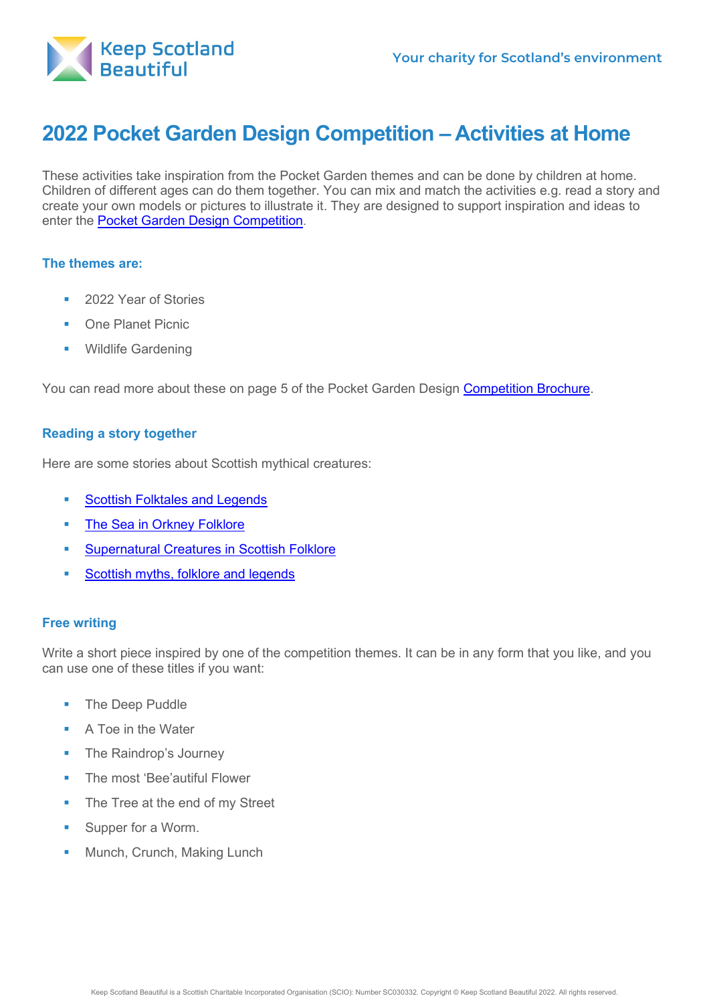

# **2022 Pocket Garden Design Competition – Activities at Home**

These activities take inspiration from the Pocket Garden themes and can be done by children at home. Children of different ages can do them together. You can mix and match the activities e.g. read a story and create your own models or pictures to illustrate it. They are designed to support inspiration and ideas to enter the [Pocket Garden Design Competition.](https://www.keepscotlandbeautiful.org/education-and-learning/food-and-the-environment/pocket-garden)

## **The themes are:**

- 2022 Year of Stories
- One Planet Picnic
- Wildlife Gardening

You can read more about these on page 5 of the Pocket Garden Design [Competition Brochure.](https://www.keepscotlandbeautiful.org/media/1568663/opp-pocket-garden-guide-2022-draft-100121.pdf)

## **Reading a story together**

Here are some stories about Scottish mythical creatures:

- [Scottish Folktales and Legends](http://oaks.nvg.org/scottish-folktales.html)
- **[The Sea in Orkney Folklore](http://www.orkneyjar.com/folklore/sea.htm)**
- **[Supernatural Creatures in Scottish Folklore](https://blog.historicenvironment.scot/2018/10/supernatural-creatures-scottish-folklore/)**
- [Scottish myths, folklore and legends](https://www.scotland.org/features/scottish-myths-folklore-and-legends)

# **Free writing**

Write a short piece inspired by one of the competition themes. It can be in any form that you like, and you can use one of these titles if you want:

- **The Deep Puddle**
- A Toe in the Water
- The Raindrop's Journey
- The most 'Bee'autiful Flower
- The Tree at the end of my Street
- **Supper for a Worm.**
- **Munch, Crunch, Making Lunch**